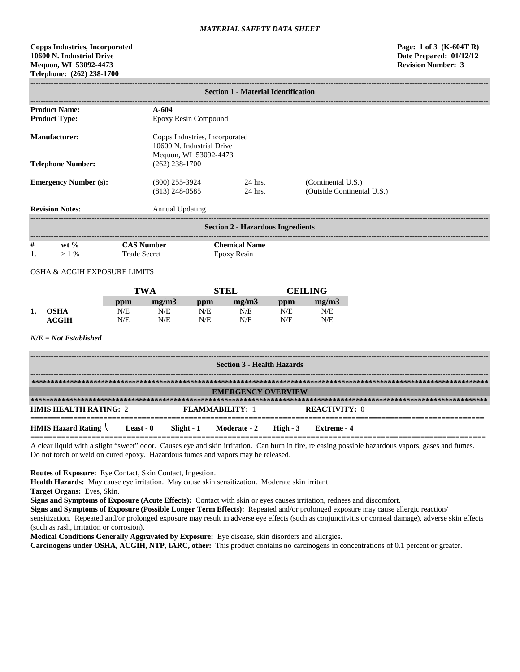# **Copps Industries, Incorporated Page: 1 of 3 (K-604T R) 10600 N. Industrial Drive Date Prepared: 01/12/12 Mequon, WI 53092-4473 Revision Number: 3 Telephone: (262) 238-1700**

| <b>Section 1 - Material Identification</b>     |                                          |                                                                                      |                      |                                            |            |                                                  |  |
|------------------------------------------------|------------------------------------------|--------------------------------------------------------------------------------------|----------------------|--------------------------------------------|------------|--------------------------------------------------|--|
| <b>Product Name:</b><br><b>Product Type:</b>   |                                          | $A-604$                                                                              | Epoxy Resin Compound |                                            |            |                                                  |  |
| <b>Manufacturer:</b>                           |                                          | Copps Industries, Incorporated<br>10600 N. Industrial Drive<br>Mequon, WI 53092-4473 |                      |                                            |            |                                                  |  |
| <b>Telephone Number:</b>                       |                                          | $(262)$ 238-1700                                                                     |                      |                                            |            |                                                  |  |
| <b>Emergency Number (s):</b>                   |                                          | $(800)$ 255-3924<br>$(813)$ 248-0585                                                 |                      | 24 hrs.<br>24 hrs.                         |            | (Continental U.S.)<br>(Outside Continental U.S.) |  |
| <b>Revision Notes:</b>                         |                                          | <b>Annual Updating</b>                                                               |                      |                                            |            |                                                  |  |
|                                                |                                          |                                                                                      |                      | <b>Section 2 - Hazardous Ingredients</b>   |            |                                                  |  |
| <u>#</u><br>$wt \%$<br>1.<br>$>1\%$            | <b>CAS Number</b><br><b>Trade Secret</b> |                                                                                      |                      | <b>Chemical Name</b><br><b>Epoxy Resin</b> |            |                                                  |  |
| OSHA & ACGIH EXPOSURE LIMITS                   |                                          |                                                                                      |                      |                                            |            |                                                  |  |
|                                                | <b>TWA</b>                               |                                                                                      |                      | <b>STEL</b>                                |            | <b>CEILING</b>                                   |  |
| <b>OSHA</b><br>1.                              | ppm<br>N/E                               | mg/m3<br>N/E                                                                         | ppm<br>N/E           | mg/m3<br>N/E                               | ppm<br>N/E | mg/m3<br>N/E                                     |  |
| <b>ACGIH</b>                                   | N/E                                      | N/E                                                                                  | N/E                  | N/E                                        | N/E        | N/E                                              |  |
| $N/E = Not$ Established                        |                                          |                                                                                      |                      |                                            |            |                                                  |  |
|                                                |                                          |                                                                                      |                      | <b>Section 3 - Health Hazards</b>          |            |                                                  |  |
|                                                |                                          |                                                                                      |                      |                                            |            |                                                  |  |
|                                                |                                          |                                                                                      |                      | <b>EMERGENCY OVERVIEW</b>                  |            |                                                  |  |
| <b>HMIS HEALTH RATING: 2</b>                   |                                          |                                                                                      | FLAMMABILITY: 1      |                                            |            | <b>REACTIVITY: 0</b>                             |  |
| <b>HMIS Hazard Rating <math>\langle</math></b> | Least - 0                                | Slight $-1$                                                                          |                      | Moderate - 2                               | High $-3$  | <b>Extreme</b> - 4                               |  |

**========================================================================================================** A clear liquid with a slight "sweet" odor. Causes eye and skin irritation. Can burn in fire, releasing possible hazardous vapors, gases and fumes. Do not torch or weld on cured epoxy. Hazardous fumes and vapors may be released.

**Routes of Exposure:** Eye Contact, Skin Contact, Ingestion.

**Health Hazards:** May cause eye irritation. May cause skin sensitization. Moderate skin irritant.

**Target Organs:** Eyes, Skin.

**Signs and Symptoms of Exposure (Acute Effects):** Contact with skin or eyes causes irritation, redness and discomfort.

**Signs and Symptoms of Exposure (Possible Longer Term Effects):** Repeated and/or prolonged exposure may cause allergic reaction/

sensitization. Repeated and/or prolonged exposure may result in adverse eye effects (such as conjunctivitis or corneal damage), adverse skin effects (such as rash, irritation or corrosion).

**Medical Conditions Generally Aggravated by Exposure:** Eye disease, skin disorders and allergies.

**Carcinogens under OSHA, ACGIH, NTP, IARC, other:** This product contains no carcinogens in concentrations of 0.1 percent or greater.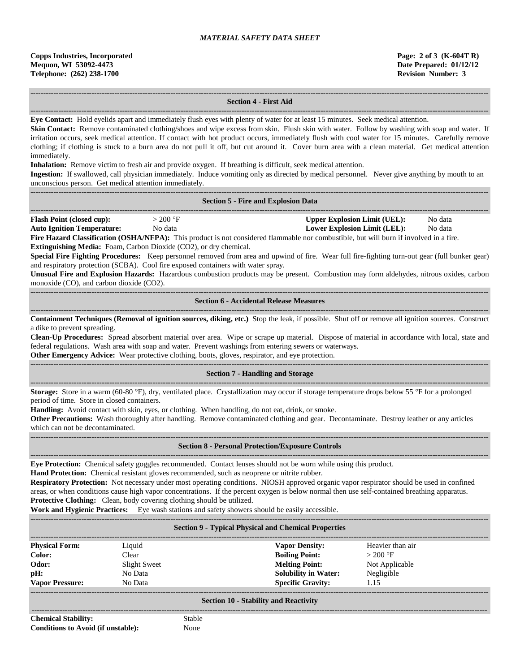#### **------------------------------------------------------------------------------------------------------------------------------------------------------------------------------------ Section 4 - First Aid ------------------------------------------------------------------------------------------------------------------------------------------------------------------------------------**

**Eye Contact:** Hold eyelids apart and immediately flush eyes with plenty of water for at least 15 minutes. Seek medical attention.

Skin Contact: Remove contaminated clothing/shoes and wipe excess from skin. Flush skin with water. Follow by washing with soap and water. If irritation occurs, seek medical attention. If contact with hot product occurs, immediately flush with cool water for 15 minutes. Carefully remove clothing; if clothing is stuck to a burn area do not pull it off, but cut around it. Cover burn area with a clean material. Get medical attention immediately.

**Inhalation:** Remove victim to fresh air and provide oxygen. If breathing is difficult, seek medical attention.

**Ingestion:** If swallowed, call physician immediately. Induce vomiting only as directed by medical personnel. Never give anything by mouth to an unconscious person. Get medical attention immediately.

|                                                                                                                   |                                                                                                                                                                                        | <b>Section 5 - Fire and Explosion Data</b>                                                                                                                                                                                                                                                                                                                                                                                                                                                                                                                                                                             |                                                                                                  |
|-------------------------------------------------------------------------------------------------------------------|----------------------------------------------------------------------------------------------------------------------------------------------------------------------------------------|------------------------------------------------------------------------------------------------------------------------------------------------------------------------------------------------------------------------------------------------------------------------------------------------------------------------------------------------------------------------------------------------------------------------------------------------------------------------------------------------------------------------------------------------------------------------------------------------------------------------|--------------------------------------------------------------------------------------------------|
| <b>Flash Point (closed cup):</b><br><b>Auto Ignition Temperature:</b><br>monoxide (CO), and carbon dioxide (CO2). | $>$ 200 °F<br>No data<br><b>Extinguishing Media:</b> Foam, Carbon Dioxide (CO2), or dry chemical.<br>and respiratory protection (SCBA). Cool fire exposed containers with water spray. | Fire Hazard Classification (OSHA/NFPA): This product is not considered flammable nor combustible, but will burn if involved in a fire.<br>Special Fire Fighting Procedures: Keep personnel removed from area and upwind of fire. Wear full fire-fighting turn-out gear (full bunker gear)<br>Unusual Fire and Explosion Hazards: Hazardous combustion products may be present. Combustion may form aldehydes, nitrous oxides, carbon                                                                                                                                                                                   | <b>Upper Explosion Limit (UEL):</b><br>No data<br><b>Lower Explosion Limit (LEL):</b><br>No data |
|                                                                                                                   |                                                                                                                                                                                        | <b>Section 6 - Accidental Release Measures</b>                                                                                                                                                                                                                                                                                                                                                                                                                                                                                                                                                                         |                                                                                                  |
| a dike to prevent spreading.                                                                                      |                                                                                                                                                                                        | Containment Techniques (Removal of ignition sources, diking, etc.) Stop the leak, if possible. Shut off or remove all ignition sources. Construct<br>Clean-Up Procedures: Spread absorbent material over area. Wipe or scrape up material. Dispose of material in accordance with local, state and<br>federal regulations. Wash area with soap and water. Prevent washings from entering sewers or waterways.<br>Other Emergency Advice: Wear protective clothing, boots, gloves, respirator, and eye protection.                                                                                                      |                                                                                                  |
|                                                                                                                   |                                                                                                                                                                                        | <b>Section 7 - Handling and Storage</b>                                                                                                                                                                                                                                                                                                                                                                                                                                                                                                                                                                                |                                                                                                  |
| period of time. Store in closed containers.<br>which can not be decontaminated.                                   |                                                                                                                                                                                        | <b>Storage:</b> Store in a warm (60-80 $\textdegree$ F), dry, ventilated place. Crystallization may occur if storage temperature drops below 55 $\textdegree$ F for a prolonged<br>Handling: Avoid contact with skin, eyes, or clothing. When handling, do not eat, drink, or smoke.<br>Other Precautions: Wash thoroughly after handling. Remove contaminated clothing and gear. Decontaminate. Destroy leather or any articles                                                                                                                                                                                       |                                                                                                  |
|                                                                                                                   |                                                                                                                                                                                        | <b>Section 8 - Personal Protection/Exposure Controls</b>                                                                                                                                                                                                                                                                                                                                                                                                                                                                                                                                                               |                                                                                                  |
|                                                                                                                   | Protective Clothing: Clean, body covering clothing should be utilized.                                                                                                                 | Eye Protection: Chemical safety goggles recommended. Contact lenses should not be worn while using this product.<br>Hand Protection: Chemical resistant gloves recommended, such as neoprene or nitrite rubber.<br>Respiratory Protection: Not necessary under most operating conditions. NIOSH approved organic vapor respirator should be used in confined<br>areas, or when conditions cause high vapor concentrations. If the percent oxygen is below normal then use self-contained breathing apparatus.<br><b>Work and Hygienic Practices:</b> Eye wash stations and safety showers should be easily accessible. |                                                                                                  |
|                                                                                                                   |                                                                                                                                                                                        | <b>Section 9 - Typical Physical and Chemical Properties</b>                                                                                                                                                                                                                                                                                                                                                                                                                                                                                                                                                            |                                                                                                  |
| <b>Physical Form:</b><br>Color:<br>Odor:<br>pH:<br><b>Vapor Pressure:</b>                                         | Liquid<br>Clear<br><b>Slight Sweet</b><br>No Data<br>No Data                                                                                                                           | <b>Vapor Density:</b><br><b>Boiling Point:</b><br><b>Melting Point:</b><br><b>Solubility in Water:</b><br><b>Specific Gravity:</b>                                                                                                                                                                                                                                                                                                                                                                                                                                                                                     | Heavier than air<br>$>200$ °F<br>Not Applicable<br>Negligible<br>1.15                            |
|                                                                                                                   |                                                                                                                                                                                        | <b>Section 10 - Stability and Reactivity</b>                                                                                                                                                                                                                                                                                                                                                                                                                                                                                                                                                                           |                                                                                                  |
| <b>Chemical Stability:</b><br><b>Conditions to Avoid (if unstable):</b>                                           | Stable<br>None                                                                                                                                                                         |                                                                                                                                                                                                                                                                                                                                                                                                                                                                                                                                                                                                                        |                                                                                                  |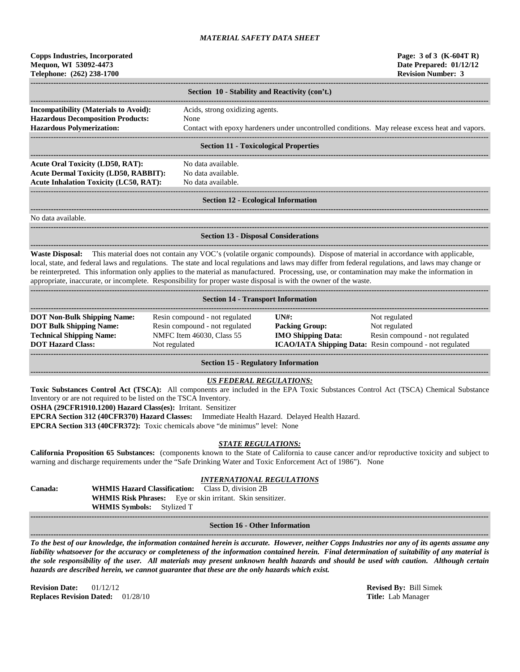| <b>Copps Industries, Incorporated</b> |  |  |  |  |
|---------------------------------------|--|--|--|--|
| Mequon, WI 53092-4473                 |  |  |  |  |
| Telephone: (262) 238-1700             |  |  |  |  |

|                                              | Section 10 - Stability and Reactivity (con't.)                                                  |
|----------------------------------------------|-------------------------------------------------------------------------------------------------|
| <b>Incompatibility (Materials to Avoid):</b> | Acids, strong oxidizing agents.                                                                 |
| <b>Hazardous Decomposition Products:</b>     | None                                                                                            |
| <b>Hazardous Polymerization:</b>             | Contact with epoxy hardeners under uncontrolled conditions. May release excess heat and vapors. |
|                                              |                                                                                                 |
|                                              |                                                                                                 |

#### **Section 11 - Toxicological Properties**

**------------------------------------------------------------------------------------------------------------------------------------------------------------------------------------** Acute Oral Toxicity (LD50, RAT): No data available. **Acute Dermal Toxicity (LD50, RABBIT):** No data available. **Acute Inhalation Toxicity (LC50, RAT):** No data available.

**------------------------------------------------------------------------------------------------------------------------------------------------------------------------------------**

------------------------------------------------------------------------------------------------------------------------------------------------------------------------------------

#### **Section 12 - Ecological Information**

**------------------------------------------------------------------------------------------------------------------------------------------------------------------------------------**

No data available.

**Section 13 - Disposal Considerations**

**------------------------------------------------------------------------------------------------------------------------------------------------------------------------------------ Waste Disposal:** This material does not contain any VOC's (volatile organic compounds). Dispose of material in accordance with applicable, local, state, and federal laws and regulations. The state and local regulations and laws may differ from federal regulations, and laws may change or be reinterpreted. This information only applies to the material as manufactured. Processing, use, or contamination may make the information in appropriate, inaccurate, or incomplete. Responsibility for proper waste disposal is with the owner of the waste.

| <b>Section 14 - Transport Information</b>                                                                                           |                                                                                                                |                                                                                     |                                                                                                                                    |  |  |  |
|-------------------------------------------------------------------------------------------------------------------------------------|----------------------------------------------------------------------------------------------------------------|-------------------------------------------------------------------------------------|------------------------------------------------------------------------------------------------------------------------------------|--|--|--|
| <b>DOT Non-Bulk Shipping Name:</b><br><b>DOT Bulk Shipping Name:</b><br><b>Technical Shipping Name:</b><br><b>DOT Hazard Class:</b> | Resin compound - not regulated<br>Resin compound - not regulated<br>NMFC Item 46030, Class 55<br>Not regulated | $\overline{I} \overline{N}$ :<br><b>Packing Group:</b><br><b>IMO Shipping Data:</b> | Not regulated<br>Not regulated<br>Resin compound - not regulated<br><b>ICAO/IATA Shipping Data:</b> Resin compound - not regulated |  |  |  |

**Section 15 - Regulatory Information**

# *US FEDERAL REGULATIONS:*

**------------------------------------------------------------------------------------------------------------------------------------------------------------------------------------**

**Toxic Substances Control Act (TSCA):** All components are included in the EPA Toxic Substances Control Act (TSCA) Chemical Substance Inventory or are not required to be listed on the TSCA Inventory.

**OSHA (29CFR1910.1200) Hazard Class(es):** Irritant. Sensitizer

**EPCRA Section 312 (40CFR370) Hazard Classes:** Immediate Health Hazard. Delayed Health Hazard.

**EPCRA Section 313 (40CFR372):** Toxic chemicals above "de minimus" level: None

#### *STATE REGULATIONS:*

**California Proposition 65 Substances:** (components known to the State of California to cause cancer and/or reproductive toxicity and subject to warning and discharge requirements under the "Safe Drinking Water and Toxic Enforcement Act of 1986"). None

# *INTERNATIONAL REGULATIONS*

**Canada: WHMIS Hazard Classification:** Class D, division 2B **WHMIS Risk Phrases:** Eye or skin irritant. Skin sensitizer. **WHMIS Symbols:** Stylized T

#### **------------------------------------------------------------------------------------------------------------------------------------------------------------------------------------ Section 16 - Other Information**

**------------------------------------------------------------------------------------------------------------------------------------------------------------------------------------** *To the best of our knowledge, the information contained herein is accurate. However, neither Copps Industries nor any of its agents assume any liability whatsoever for the accuracy or completeness of the information contained herein. Final determination of suitability of any material is the sole responsibility of the user. All materials may present unknown health hazards and should be used with caution. Although certain hazards are described herein, we cannot guarantee that these are the only hazards which exist.*

**Revision Date:** 01/12/12 **Revised By:** Bill Simek **Replaces Revision Dated:** 01/28/10 **Title:** Lab Manager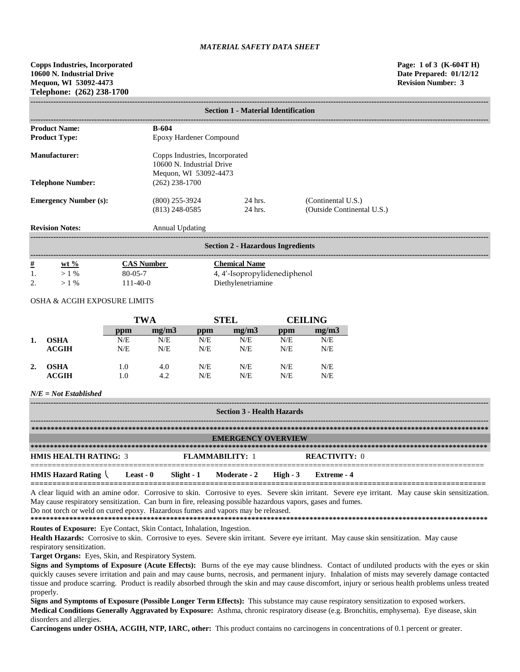**Copps Industries, Incorporated Page: 1 of 3 (K-604T H) 10600 N. Industrial Drive Date Prepared: 01/12/12 Mequon, WI 53092-4473 Revision Number: 3 Telephone: (262) 238-1700**

| <b>Section 1 - Material Identification</b> |                                      |                                                             |                                                  |  |  |  |
|--------------------------------------------|--------------------------------------|-------------------------------------------------------------|--------------------------------------------------|--|--|--|
| <b>Product Name:</b>                       | <b>B-604</b>                         |                                                             |                                                  |  |  |  |
| <b>Product Type:</b>                       | Epoxy Hardener Compound              |                                                             |                                                  |  |  |  |
| Manufacturer:                              | Mequon, WI 53092-4473                | Copps Industries, Incorporated<br>10600 N. Industrial Drive |                                                  |  |  |  |
| <b>Telephone Number:</b>                   | $(262)$ 238-1700                     |                                                             |                                                  |  |  |  |
| <b>Emergency Number (s):</b>               | $(800)$ 255-3924<br>$(813)$ 248-0585 | 24 hrs.<br>24 hrs.                                          | (Continental U.S.)<br>(Outside Continental U.S.) |  |  |  |
| <b>Revision Notes:</b>                     | Annual Updating                      |                                                             |                                                  |  |  |  |
| <b>Section 2 - Hazardous Ingredients</b>   |                                      |                                                             |                                                  |  |  |  |
| <u>#</u><br>$wt \%$                        | <b>CAS Number</b>                    | <b>Chemical Name</b>                                        |                                                  |  |  |  |

| $>1\%$ | $80 - 05 - 7$ | 4, 4'-Isopropylidenediphenol |
|--------|---------------|------------------------------|
| $>1\%$ | $111-40-0$    | Diethylenetriamine           |
|        |               |                              |

# OSHA & ACGIH EXPOSURE LIMITS

|    |             | TWA |       | <b>STEL</b> |       | <b>CEILING</b> |       |
|----|-------------|-----|-------|-------------|-------|----------------|-------|
|    |             | ppm | mg/m3 | ppm         | mg/m3 | ppm            | mg/m3 |
| 1. | <b>OSHA</b> | N/E | N/E   | N/E         | N/E   | N/E            | N/E   |
|    | ACGIH       | N/E | N/E   | N/E         | N/E   | N/E            | N/E   |
| 2. | <b>OSHA</b> | 1.0 | 4.0   | N/E         | N/E   | N/E            | N/E   |
|    | ACGIH       | 1.0 | 4.2   | N/E         | N/E   | N/E            | N/E   |

#### *N/E = Not Established*

| <b>Section 3 - Health Hazards</b>                             |  |  |                           |  |                      |  |
|---------------------------------------------------------------|--|--|---------------------------|--|----------------------|--|
|                                                               |  |  |                           |  |                      |  |
|                                                               |  |  | <b>EMERGENCY OVERVIEW</b> |  |                      |  |
|                                                               |  |  |                           |  |                      |  |
| <b>HMIS HEALTH RATING: 3</b>                                  |  |  | <b>FLAMMARILITY: 1</b>    |  | <b>REACTIVITY:</b> 0 |  |
| HMIS Hazard Rating Least - 0 Slight - 1 Moderate - 2 High - 3 |  |  |                           |  | Extreme - 4          |  |

A clear liquid with an amine odor. Corrosive to skin. Corrosive to eyes. Severe skin irritant. Severe eye irritant. May cause skin sensitization. May cause respiratory sensitization. Can burn in fire, releasing possible hazardous vapors, gases and fumes.

Do not torch or weld on cured epoxy. Hazardous fumes and vapors may be released.

**\*\*\*\*\*\*\*\*\*\*\*\*\*\*\*\*\*\*\*\*\*\*\*\*\*\*\*\*\*\*\*\*\*\*\*\*\*\*\*\*\*\*\*\*\*\*\*\*\*\*\*\*\*\*\*\*\*\*\*\*\*\*\*\*\*\*\*\*\*\*\*\*\*\*\*\*\*\*\*\*\*\*\*\*\*\*\*\*\*\*\*\*\*\*\*\*\*\*\*\*\*\*\*\*\*\*\*\*\*\*\*\*\*\*\*\*\*\* Routes of Exposure:** Eye Contact, Skin Contact, Inhalation, Ingestion.

Health Hazards: Corrosive to skin. Corrosive to eyes. Severe skin irritant. Severe eye irritant. May cause skin sensitization. May cause respiratory sensitization.

**Target Organs:** Eyes, Skin, and Respiratory System.

**Signs and Symptoms of Exposure (Acute Effects):** Burns of the eye may cause blindness. Contact of undiluted products with the eyes or skin quickly causes severe irritation and pain and may cause burns, necrosis, and permanent injury. Inhalation of mists may severely damage contacted tissue and produce scarring. Product is readily absorbed through the skin and may cause discomfort, injury or serious health problems unless treated properly.

**Signs and Symptoms of Exposure (Possible Longer Term Effects):** This substance may cause respiratory sensitization to exposed workers. **Medical Conditions Generally Aggravated by Exposure:** Asthma, chronic respiratory disease (e.g. Bronchitis, emphysema). Eye disease, skin disorders and allergies.

**Carcinogens under OSHA, ACGIH, NTP, IARC, other:** This product contains no carcinogens in concentrations of 0.1 percent or greater.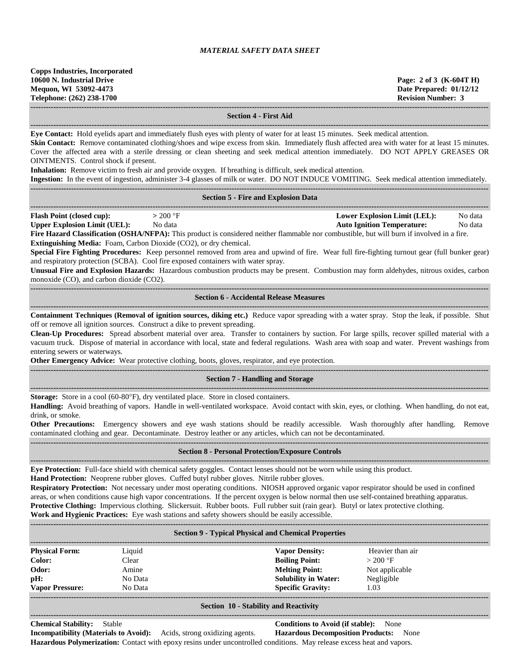#### **Section 4 - First Aid**

**------------------------------------------------------------------------------------------------------------------------------------------------------------------------------------**

**Eye Contact:** Hold eyelids apart and immediately flush eyes with plenty of water for at least 15 minutes. Seek medical attention.

**Skin Contact:** Remove contaminated clothing/shoes and wipe excess from skin. Immediately flush affected area with water for at least 15 minutes. Cover the affected area with a sterile dressing or clean sheeting and seek medical attention immediately. DO NOT APPLY GREASES OR OINTMENTS. Control shock if present.

**Inhalation:** Remove victim to fresh air and provide oxygen. If breathing is difficult, seek medical attention.

**Ingestion:** In the event of ingestion, administer 3-4 glasses of milk or water. DO NOT INDUCE VOMITING. Seek medical attention immediately. **------------------------------------------------------------------------------------------------------------------------------------------------------------------------------------**

#### **Section 5 - Fire and Explosion Data**

**------------------------------------------------------------------------------------------------------------------------------------------------------------------------------------ Flash Point (closed cup):**  $> 200 \text{ °F}$  **Lower Explosion Limit (LEL):** No data **Upper Explosion Limit (UEL):** No data **Auto Ignition Temperature:** No data **Fire Hazard Classification (OSHA/NFPA):** This product is considered neither flammable nor combustible, but will burn if involved in a fire.

**Extinguishing Media:** Foam, Carbon Dioxide (CO2), or dry chemical.

**Special Fire Fighting Procedures:** Keep personnel removed from area and upwind of fire. Wear full fire-fighting turnout gear (full bunker gear) and respiratory protection (SCBA). Cool fire exposed containers with water spray.

**Unusual Fire and Explosion Hazards:** Hazardous combustion products may be present. Combustion may form aldehydes, nitrous oxides, carbon monoxide (CO), and carbon dioxide (CO2).

#### **Section 6 - Accidental Release Measures ------------------------------------------------------------------------------------------------------------------------------------------------------------------------------------**

**Containment Techniques (Removal of ignition sources, diking etc.)** Reduce vapor spreading with a water spray. Stop the leak, if possible. Shut off or remove all ignition sources. Construct a dike to prevent spreading.

**Clean-Up Procedures:** Spread absorbent material over area. Transfer to containers by suction. For large spills, recover spilled material with a vacuum truck. Dispose of material in accordance with local, state and federal regulations. Wash area with soap and water. Prevent washings from entering sewers or waterways.

**Other Emergency Advice:** Wear protective clothing, boots, gloves, respirator, and eye protection.

#### **------------------------------------------------------------------------------------------------------------------------------------------------------------------------------------ Section 7 - Handling and Storage**

**------------------------------------------------------------------------------------------------------------------------------------------------------------------------------------**

**Storage:** Store in a cool (60-80°F), dry ventilated place. Store in closed containers.

**------------------------------------------------------------------------------------------------------------------------------------------------------------------------------------**

**Handling:** Avoid breathing of vapors. Handle in well-ventilated workspace. Avoid contact with skin, eyes, or clothing. When handling, do not eat, drink, or smoke.

**Other Precautions:** Emergency showers and eye wash stations should be readily accessible. Wash thoroughly after handling. Remove contaminated clothing and gear. Decontaminate. Destroy leather or any articles, which can not be decontaminated.

# **------------------------------------------------------------------------------------------------------------------------------------------------------------------------------------ Section 8 - Personal Protection/Exposure Controls**

**------------------------------------------------------------------------------------------------------------------------------------------------------------------------------------ Eye Protection:** Full-face shield with chemical safety goggles. Contact lenses should not be worn while using this product.

**Hand Protection:** Neoprene rubber gloves. Cuffed butyl rubber gloves. Nitrile rubber gloves.

**Respiratory Protection:** Not necessary under most operating conditions. NIOSH approved organic vapor respirator should be used in confined areas, or when conditions cause high vapor concentrations. If the percent oxygen is below normal then use self-contained breathing apparatus. **Protective Clothing:** Impervious clothing. Slickersuit. Rubber boots. Full rubber suit (rain gear). Butyl or latex protective clothing. **Work and Hygienic Practices:** Eye wash stations and safety showers should be easily accessible.

| <b>Section 9 - Typical Physical and Chemical Properties</b> |         |                             |                  |  |  |  |
|-------------------------------------------------------------|---------|-----------------------------|------------------|--|--|--|
| <b>Physical Form:</b>                                       | Liquid  | <b>Vapor Density:</b>       | Heavier than air |  |  |  |
| Color:                                                      | Clear   | <b>Boiling Point:</b>       | $>200$ °F        |  |  |  |
| Odor:                                                       | Amine   | <b>Melting Point:</b>       | Not applicable   |  |  |  |
| pH:                                                         | No Data | <b>Solubility in Water:</b> | Negligible       |  |  |  |
| <b>Vapor Pressure:</b>                                      | No Data | <b>Specific Gravity:</b>    | 1.03             |  |  |  |

#### **Section 10 - Stability and Reactivity**

**------------------------------------------------------------------------------------------------------------------------------------------------------------------------------------**

**Chemical Stability:** Stable **Conditions to Avoid (if stable):** None

**Incompatibility (Materials to Avoid):** Acids, strong oxidizing agents. **Hazardous Decomposition Products:** None **Hazardous Polymerization:** Contact with epoxy resins under uncontrolled conditions. May release excess heat and vapors.